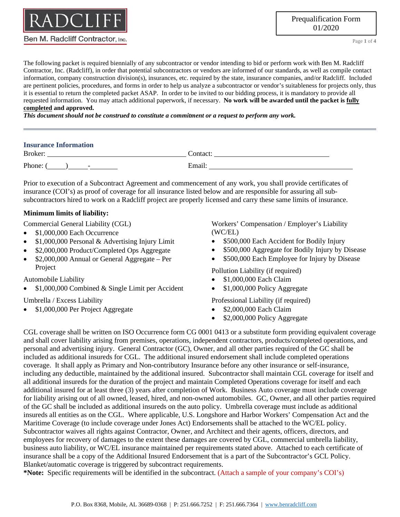

Page **1** of **4**

The following packet is required biennially of any subcontractor or vendor intending to bid or perform work with Ben M. Radcliff Contractor, Inc. (Radcliff), in order that potential subcontractors or vendors are informed of our standards, as well as compile contact information, company construction division(s), insurances, etc. required by the state, insurance companies, and/or Radcliff. Included are pertinent policies, procedures, and forms in order to help us analyze a subcontractor or vendor's suitableness for projects only, thus it is essential to return the completed packet ASAP. In order to be invited to our bidding process, it is mandatory to provide all requested information. You may attach additional paperwork, if necessary. **No work will be awarded until the packet is fully completed and approved.**

*This document should not be construed to constitute a commitment or a request to perform any work.*

## **Insurance Information**

| <b>Bro</b>                              |  |
|-----------------------------------------|--|
| $\mathbf{D}$<br>-<br>1 none.<br>$- - -$ |  |

Prior to execution of a Subcontract Agreement and commencement of any work, you shall provide certificates of insurance (COI's) as proof of coverage for all insurance listed below and are responsible for assuring all subsubcontractors hired to work on a Radcliff project are properly licensed and carry these same limits of insurance.

## **Minimum limits of liability:**

Commercial General Liability (CGL)

- \$1,000,000 Each Occurrence
- \$1,000,000 Personal & Advertising Injury Limit
- \$2,000,000 Product/Completed Ops Aggregate
- \$2,000,000 Annual or General Aggregate Per Project

Automobile Liability

• \$1,000,000 Combined & Single Limit per Accident

Umbrella / Excess Liability

• \$1,000,000 Per Project Aggregate

Workers' Compensation / Employer's Liability (WC/EL)

- \$500,000 Each Accident for Bodily Injury
- \$500,000 Aggregate for Bodily Injury by Disease
- \$500,000 Each Employee for Injury by Disease

Pollution Liability (if required)

- \$1,000,000 Each Claim
- \$1,000,000 Policy Aggregate

Professional Liability (if required)

- \$2,000,000 Each Claim
- \$2,000,000 Policy Aggregate

CGL coverage shall be written on ISO Occurrence form CG 0001 0413 or a substitute form providing equivalent coverage and shall cover liability arising from premises, operations, independent contractors, products/completed operations, and personal and advertising injury. General Contractor (GC), Owner, and all other parties required of the GC shall be included as additional insureds for CGL. The additional insured endorsement shall include completed operations coverage. It shall apply as Primary and Non-contributory Insurance before any other insurance or self-insurance, including any deductible, maintained by the additional insured. Subcontractor shall maintain CGL coverage for itself and all additional insureds for the duration of the project and maintain Completed Operations coverage for itself and each additional insured for at least three (3) years after completion of Work. Business Auto coverage must include coverage for liability arising out of all owned, leased, hired, and non-owned automobiles. GC, Owner, and all other parties required of the GC shall be included as additional insureds on the auto policy. Umbrella coverage must include as additional insureds all entities as on the CGL. Where applicable, U.S. Longshore and Harbor Workers' Compensation Act and the Maritime Coverage (to include coverage under Jones Act) Endorsements shall be attached to the WC/EL policy. Subcontractor waives all rights against Contractor, Owner, and Architect and their agents, officers, directors, and employees for recovery of damages to the extent these damages are covered by CGL, commercial umbrella liability, business auto liability, or WC/EL insurance maintained per requirements stated above. Attached to each certificate of insurance shall be a copy of the Additional Insured Endorsement that is a part of the Subcontractor's GCL Policy. Blanket/automatic coverage is triggered by subcontract requirements.

**\*Note:** Specific requirements will be identified in the subcontract. (Attach a sample of your company's COI's)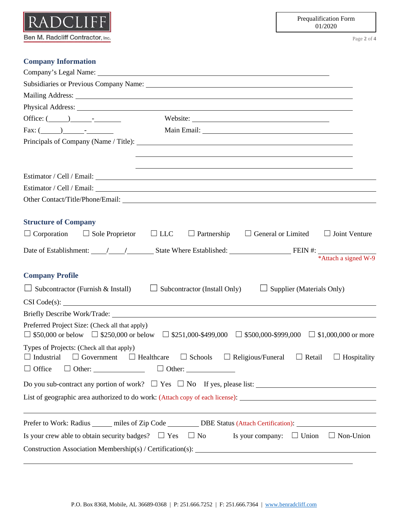

Page **2** of **4**

## **Company Information**

| Subsidiaries or Previous Company Name: 1988. [19] Mannesen Mannesen Mannesen Mannesen Mannesen Mannesen Mannes                                                                                                                                                                                                                                                                                       |
|------------------------------------------------------------------------------------------------------------------------------------------------------------------------------------------------------------------------------------------------------------------------------------------------------------------------------------------------------------------------------------------------------|
| Mailing Address: National Address: National Address: National Address: National Address: National Address: National Address: National Address: National Address: National Address: National Address: National Address: Nationa                                                                                                                                                                       |
|                                                                                                                                                                                                                                                                                                                                                                                                      |
| Office: $(\_\_\_\_\_\_\$                                                                                                                                                                                                                                                                                                                                                                             |
|                                                                                                                                                                                                                                                                                                                                                                                                      |
| Principals of Company (Name / Title): 1992. [2016] The Company of Company (Name / Title):                                                                                                                                                                                                                                                                                                            |
| <u> 1990 - Jan James James Barnett, amerikan bahasa personal di sebagai personal di sebagai personal di sebagai p</u>                                                                                                                                                                                                                                                                                |
|                                                                                                                                                                                                                                                                                                                                                                                                      |
|                                                                                                                                                                                                                                                                                                                                                                                                      |
|                                                                                                                                                                                                                                                                                                                                                                                                      |
|                                                                                                                                                                                                                                                                                                                                                                                                      |
| <b>Structure of Company</b>                                                                                                                                                                                                                                                                                                                                                                          |
| $\Box$ Corporation $\Box$ Sole Proprietor $\Box$ LLC<br>$\Box$ Partnership<br>$\Box$ General or Limited<br>$\Box$ Joint Venture                                                                                                                                                                                                                                                                      |
| Date of Establishment: $\frac{1}{\sqrt{1-\frac{1}{1-\frac{1}{1-\frac{1}{1-\frac{1}{1-\frac{1}{1-\frac{1}{1-\frac{1}{1-\frac{1}{1-\frac{1}{1-\frac{1}{1-\frac{1}{1-\frac{1}{1-\frac{1}{1-\frac{1}{1-\frac{1}{1-\frac{1}{1-\frac{1}{1-\frac{1}{1-\frac{1}{1-\frac{1}{1-\frac{1}{1-\frac{1}{1-\frac{1}{1-\frac{1}{1-\frac{1}{1-\frac{1}{1-\frac{1}{1-\frac{1}{1-\frac{1}{1-\frac{1}{1-\frac{1}{1-\frac$ |
|                                                                                                                                                                                                                                                                                                                                                                                                      |
| <b>Company Profile</b>                                                                                                                                                                                                                                                                                                                                                                               |
| $\Box$ Subcontractor (Furnish & Install) $\Box$ Subcontractor (Install Only)<br>$\Box$ Supplier (Materials Only)                                                                                                                                                                                                                                                                                     |
|                                                                                                                                                                                                                                                                                                                                                                                                      |
|                                                                                                                                                                                                                                                                                                                                                                                                      |
| Preferred Project Size: (Check all that apply)<br>$\Box$ \$50,000 or below $\Box$ \$250,000 or below $\Box$ \$251,000-\$499,000 $\Box$ \$500,000-\$999,000 $\Box$ \$1,000,000 or more                                                                                                                                                                                                                |
| Types of Projects: (Check all that apply)<br>$\Box$ Industrial $\Box$ Government $\Box$ Healthcare $\Box$ Schools $\Box$ Religious/Funeral $\Box$ Retail $\Box$ Hospitality                                                                                                                                                                                                                          |
| $\Box$ Other: $\Box$ Other: $\Box$ Other:<br>$\Box$ Office                                                                                                                                                                                                                                                                                                                                           |
|                                                                                                                                                                                                                                                                                                                                                                                                      |
| List of geographic area authorized to do work: (Attach copy of each license):                                                                                                                                                                                                                                                                                                                        |
| Prefer to Work: Radius ______ miles of Zip Code __________ DBE Status (Attach Certification): ________________                                                                                                                                                                                                                                                                                       |
| Is your company: $\Box$ Union $\Box$ Non-Union<br>Is your crew able to obtain security badges? $\Box$ Yes $\Box$ No                                                                                                                                                                                                                                                                                  |
|                                                                                                                                                                                                                                                                                                                                                                                                      |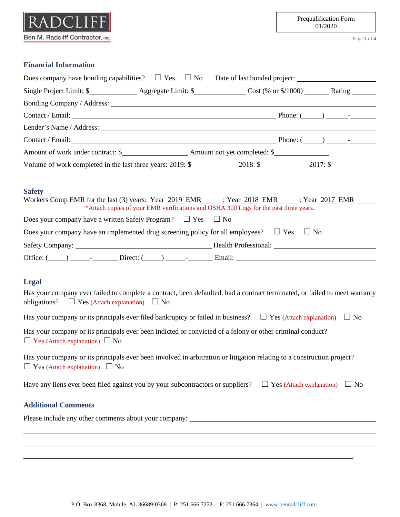| Ben M. Radcliff Contractor, Inc. |
|----------------------------------|

Prequalification Form 01/2020

Page **3** of **4**

.

## **Financial Information**

| Does company have bonding capabilities? $\square$ Yes $\square$ No Date of last bonded project:                                                                                                                  |  |  |  |
|------------------------------------------------------------------------------------------------------------------------------------------------------------------------------------------------------------------|--|--|--|
|                                                                                                                                                                                                                  |  |  |  |
|                                                                                                                                                                                                                  |  |  |  |
|                                                                                                                                                                                                                  |  |  |  |
|                                                                                                                                                                                                                  |  |  |  |
|                                                                                                                                                                                                                  |  |  |  |
|                                                                                                                                                                                                                  |  |  |  |
| Volume of work completed in the last three years: 2019: \$2018: \$2017: \$2017: \$2017: \$                                                                                                                       |  |  |  |
| <b>Safety</b><br>Workers Comp EMR for the last (3) years: Year 2019 EMR _____; Year 2018 EMR _____; Year 2017 EMR ______<br>*Attach copies of your EMR verifications and OSHA 300 Logs for the past three years. |  |  |  |
| Does your company have a written Safety Program? $\Box$ Yes $\Box$ No                                                                                                                                            |  |  |  |
| Does your company have an implemented drug screening policy for all employees? $\Box$ Yes $\Box$ No                                                                                                              |  |  |  |
|                                                                                                                                                                                                                  |  |  |  |
|                                                                                                                                                                                                                  |  |  |  |
| <b>Legal</b>                                                                                                                                                                                                     |  |  |  |
| Has your company ever failed to complete a contract, been defaulted, had a contract terminated, or failed to meet warranty<br>obligations? $\Box$ Yes (Attach explanation) $\Box$ No                             |  |  |  |
| Has your company or its principals ever filed bankruptcy or failed in business? $\Box$ Yes (Attach explanation) $\Box$ No                                                                                        |  |  |  |
| Has your company or its principals ever been indicted or convicted of a felony or other criminal conduct?<br>$\Box$ Yes (Attach explanation) $\Box$ No                                                           |  |  |  |
| Has your company or its principals ever been involved in arbitration or litigation relating to a construction project?<br>$\Box$ Yes (Attach explanation) $\Box$ No                                              |  |  |  |
| Have any liens ever been filed against you by your subcontractors or suppliers? $\Box$ Yes (Attach explanation) $\Box$ No                                                                                        |  |  |  |
| <b>Additional Comments</b>                                                                                                                                                                                       |  |  |  |
| Please include any other comments about your company: __________________________                                                                                                                                 |  |  |  |
|                                                                                                                                                                                                                  |  |  |  |